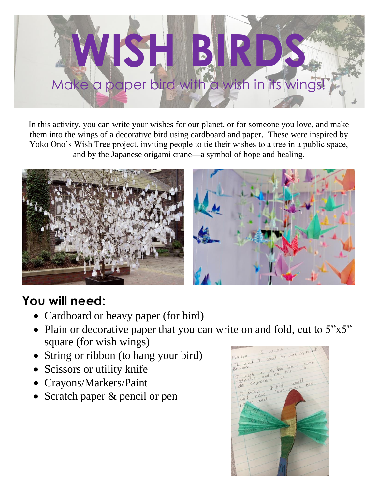

In this activity, you can write your wishes for our planet, or for someone you love, and make them into the wings of a decorative bird using cardboard and paper. These were inspired by Yoko Ono's Wish Tree project, inviting people to tie their wishes to a tree in a public space, and by the Japanese origami crane—a symbol of hope and healing.



## **You will need:**

- Cardboard or heavy paper (for bird)
- Plain or decorative paper that you can write on and fold, cut to  $5"x5"$ square (for wish wings)
- String or ribbon (to hang your bird)
- Scissors or utility knife
- Crayons/Markers/Paint
- Scratch paper & pencil or pen

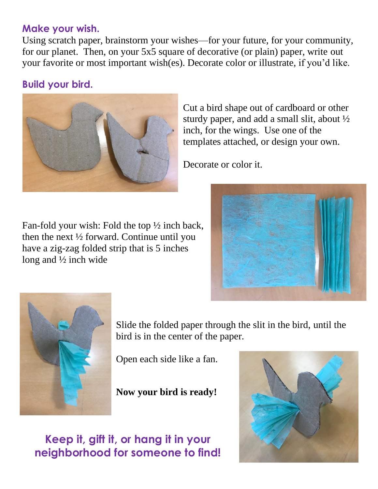## **Make your wish.**

Using scratch paper, brainstorm your wishes—for your future, for your community, for our planet. Then, on your 5x5 square of decorative (or plain) paper, write out your favorite or most important wish(es). Decorate color or illustrate, if you'd like.

## **Build your bird.**



Cut a bird shape out of cardboard or other sturdy paper, and add a small slit, about ½ inch, for the wings. Use one of the templates attached, or design your own.

Decorate or color it.

Fan-fold your wish: Fold the top ½ inch back, then the next ½ forward. Continue until you have a zig-zag folded strip that is 5 inches long and ½ inch wide





Slide the folded paper through the slit in the bird, until the bird is in the center of the paper.

Open each side like a fan.

**Now your bird is ready!**

## **Keep it, gift it, or hang it in your neighborhood for someone to find!**